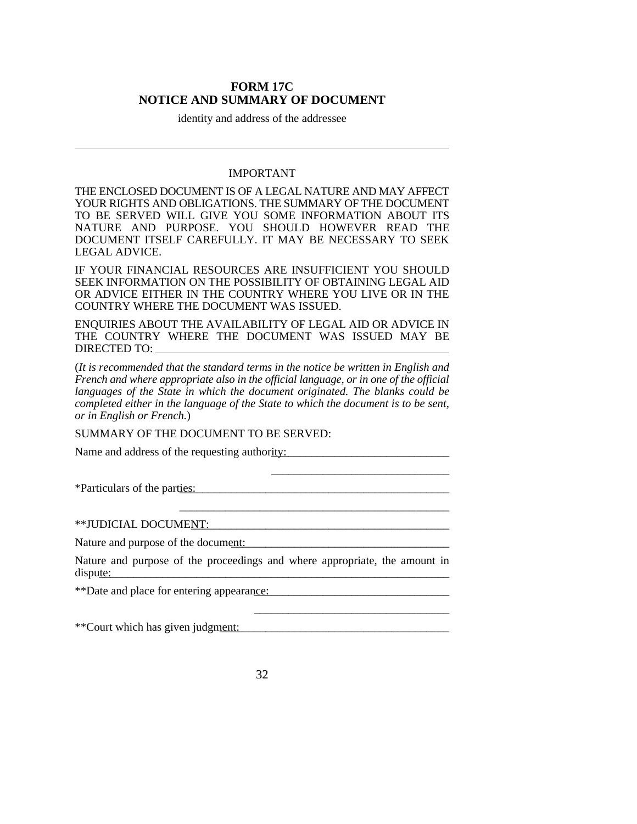## **FORM 17C NOTICE AND SUMMARY OF DOCUMENT**

identity and address of the addressee

## IMPORTANT

THE ENCLOSED DOCUMENT IS OF A LEGAL NATURE AND MAY AFFECT YOUR RIGHTS AND OBLIGATIONS. THE SUMMARY OF THE DOCUMENT TO BE SERVED WILL GIVE YOU SOME INFORMATION ABOUT ITS NATURE AND PURPOSE. YOU SHOULD HOWEVER READ THE DOCUMENT ITSELF CAREFULLY. IT MAY BE NECESSARY TO SEEK LEGAL ADVICE.

IF YOUR FINANCIAL RESOURCES ARE INSUFFICIENT YOU SHOULD SEEK INFORMATION ON THE POSSIBILITY OF OBTAINING LEGAL AID OR ADVICE EITHER IN THE COUNTRY WHERE YOU LIVE OR IN THE COUNTRY WHERE THE DOCUMENT WAS ISSUED.

ENQUIRIES ABOUT THE AVAILABILITY OF LEGAL AID OR ADVICE IN THE COUNTRY WHERE THE DOCUMENT WAS ISSUED MAY BE DIRECTED TO:

(*It is recommended that the standard terms in the notice be written in English and French and where appropriate also in the official language, or in one of the official languages of the State in which the document originated. The blanks could be completed either in the language of the State to which the document is to be sent, or in English or French.*)

\_\_\_\_\_\_\_\_\_\_\_\_\_\_\_\_\_\_\_\_\_\_\_\_\_\_\_\_\_\_\_

\_\_\_\_\_\_\_\_\_\_\_\_\_\_\_\_\_\_\_\_\_\_\_\_\_\_\_\_\_\_\_\_\_\_

\_\_\_\_\_\_\_\_\_\_\_\_\_\_\_\_\_\_\_\_\_\_\_\_\_\_\_\_\_\_\_\_\_\_\_\_\_\_\_\_\_\_\_\_\_\_\_

SUMMARY OF THE DOCUMENT TO BE SERVED:

Name and address of the requesting authority:

\*Particulars of the parties: \_\_\_\_\_\_\_\_\_\_\_\_\_\_\_\_\_\_\_\_\_\_\_\_\_\_\_\_\_\_\_\_\_\_\_\_\_\_\_\_\_\_\_\_\_\_\_

\*\*JUDICIAL DOCUMENT: \_\_\_\_\_\_\_\_\_\_\_\_\_\_\_\_\_\_\_\_\_\_\_\_\_\_\_\_\_\_\_\_\_\_\_\_\_\_\_\_\_\_\_\_\_

Nature and purpose of the document:

Nature and purpose of the proceedings and where appropriate, the amount in dispute:

\*\*Date and place for entering appearance:

\*\*Court which has given judgment: